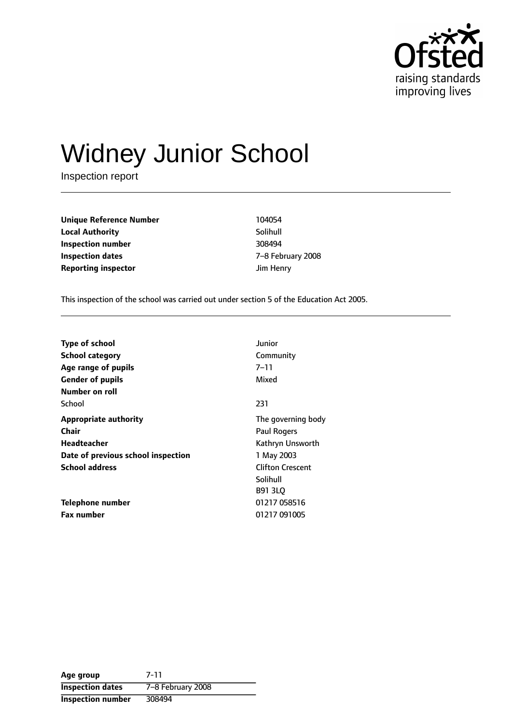

# Widney Junior School

Inspection report

**Unique Reference Number** 104054 **Local Authority** Solihull **Inspection number** 308494 **Inspection dates** The Technical Control of  $Z-8$  February 2008 **Reporting inspector discription** Jim Henry

This inspection of the school was carried out under section 5 of the Education Act 2005.

| <b>Type of school</b>              | Junior                  |
|------------------------------------|-------------------------|
| <b>School category</b>             | Community               |
| Age range of pupils                | $7 - 11$                |
| <b>Gender of pupils</b>            | Mixed                   |
| Number on roll                     |                         |
| School                             | 231                     |
| <b>Appropriate authority</b>       | The governing body      |
| <b>Chair</b>                       | <b>Paul Rogers</b>      |
| Headteacher                        | Kathryn Unsworth        |
| Date of previous school inspection | 1 May 2003              |
| <b>School address</b>              | <b>Clifton Crescent</b> |
|                                    | Solihull                |
|                                    | <b>B91 3LO</b>          |
| Telephone number                   | 01217 058516            |
| <b>Fax number</b>                  | 01217 091005            |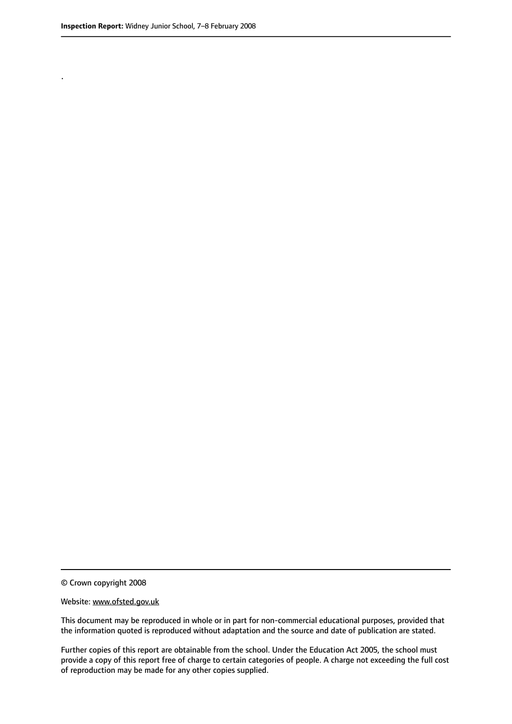.

© Crown copyright 2008

#### Website: www.ofsted.gov.uk

This document may be reproduced in whole or in part for non-commercial educational purposes, provided that the information quoted is reproduced without adaptation and the source and date of publication are stated.

Further copies of this report are obtainable from the school. Under the Education Act 2005, the school must provide a copy of this report free of charge to certain categories of people. A charge not exceeding the full cost of reproduction may be made for any other copies supplied.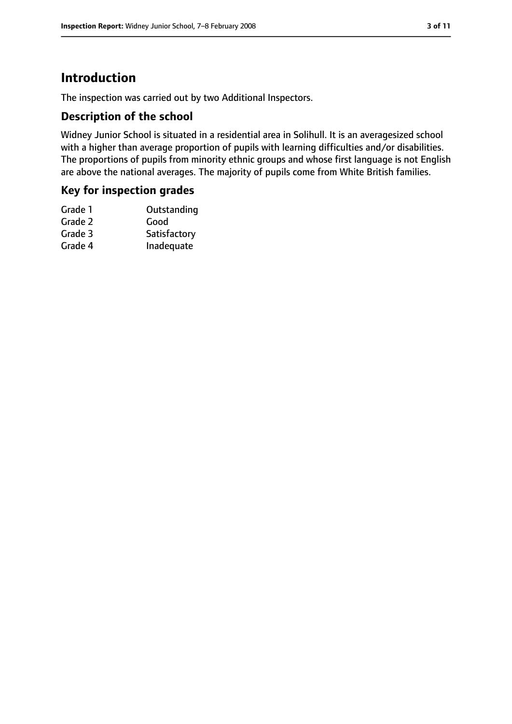# **Introduction**

The inspection was carried out by two Additional Inspectors.

## **Description of the school**

Widney Junior School is situated in a residential area in Solihull. It is an averagesized school with a higher than average proportion of pupils with learning difficulties and/or disabilities. The proportions of pupils from minority ethnic groups and whose first language is not English are above the national averages. The majority of pupils come from White British families.

## **Key for inspection grades**

| Satisfactory |
|--------------|
| Inadequate   |
|              |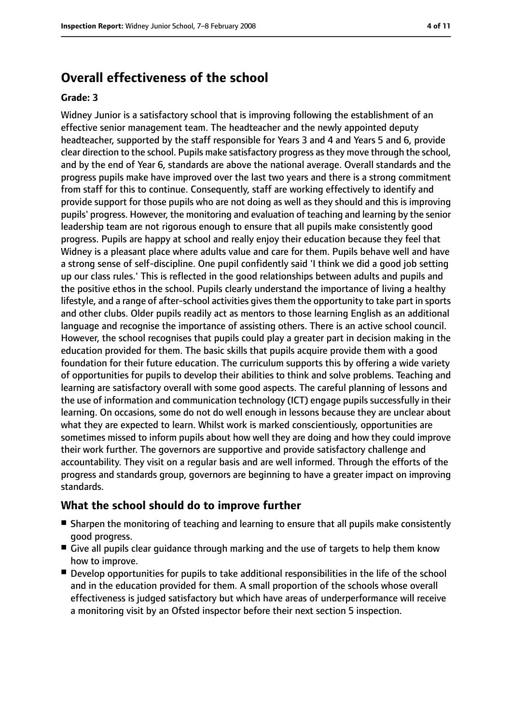# **Overall effectiveness of the school**

#### **Grade: 3**

Widney Junior is a satisfactory school that is improving following the establishment of an effective senior management team. The headteacher and the newly appointed deputy headteacher, supported by the staff responsible for Years 3 and 4 and Years 5 and 6, provide clear direction to the school. Pupils make satisfactory progress as they move through the school, and by the end of Year 6, standards are above the national average. Overall standards and the progress pupils make have improved over the last two years and there is a strong commitment from staff for this to continue. Consequently, staff are working effectively to identify and provide support for those pupils who are not doing as well as they should and this is improving pupils' progress. However, the monitoring and evaluation of teaching and learning by the senior leadership team are not rigorous enough to ensure that all pupils make consistently good progress. Pupils are happy at school and really enjoy their education because they feel that Widney is a pleasant place where adults value and care for them. Pupils behave well and have a strong sense of self-discipline. One pupil confidently said 'I think we did a good job setting up our class rules.' This is reflected in the good relationships between adults and pupils and the positive ethos in the school. Pupils clearly understand the importance of living a healthy lifestyle, and a range of after-school activities gives them the opportunity to take part in sports and other clubs. Older pupils readily act as mentors to those learning English as an additional language and recognise the importance of assisting others. There is an active school council. However, the school recognises that pupils could play a greater part in decision making in the education provided for them. The basic skills that pupils acquire provide them with a good foundation for their future education. The curriculum supports this by offering a wide variety of opportunities for pupils to develop their abilities to think and solve problems. Teaching and learning are satisfactory overall with some good aspects. The careful planning of lessons and the use of information and communication technology (ICT) engage pupils successfully in their learning. On occasions, some do not do well enough in lessons because they are unclear about what they are expected to learn. Whilst work is marked conscientiously, opportunities are sometimes missed to inform pupils about how well they are doing and how they could improve their work further. The governors are supportive and provide satisfactory challenge and accountability. They visit on a regular basis and are well informed. Through the efforts of the progress and standards group, governors are beginning to have a greater impact on improving standards.

#### **What the school should do to improve further**

- Sharpen the monitoring of teaching and learning to ensure that all pupils make consistently good progress.
- Give all pupils clear quidance through marking and the use of targets to help them know how to improve.
- Develop opportunities for pupils to take additional responsibilities in the life of the school and in the education provided for them. A small proportion of the schools whose overall effectiveness is judged satisfactory but which have areas of underperformance will receive a monitoring visit by an Ofsted inspector before their next section 5 inspection.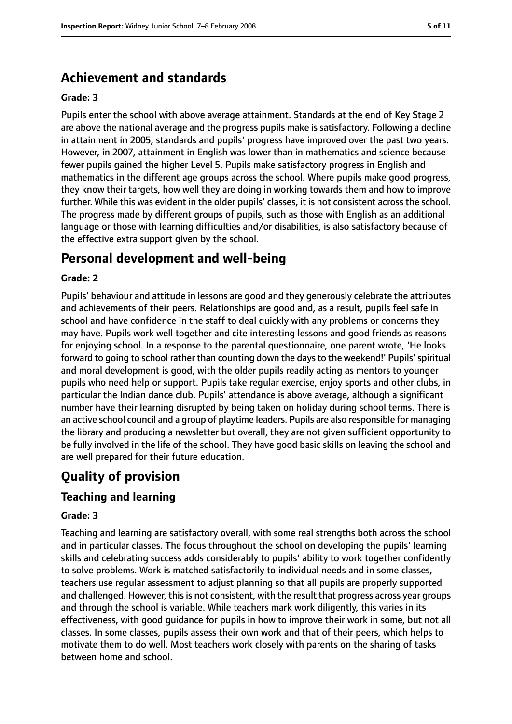# **Achievement and standards**

#### **Grade: 3**

Pupils enter the school with above average attainment. Standards at the end of Key Stage 2 are above the national average and the progress pupils make is satisfactory. Following a decline in attainment in 2005, standards and pupils' progress have improved over the past two years. However, in 2007, attainment in English was lower than in mathematics and science because fewer pupils gained the higher Level 5. Pupils make satisfactory progress in English and mathematics in the different age groups across the school. Where pupils make good progress, they know their targets, how well they are doing in working towards them and how to improve further. While this was evident in the older pupils' classes, it is not consistent across the school. The progress made by different groups of pupils, such as those with English as an additional language or those with learning difficulties and/or disabilities, is also satisfactory because of the effective extra support given by the school.

# **Personal development and well-being**

## **Grade: 2**

Pupils' behaviour and attitude in lessons are good and they generously celebrate the attributes and achievements of their peers. Relationships are good and, as a result, pupils feel safe in school and have confidence in the staff to deal quickly with any problems or concerns they may have. Pupils work well together and cite interesting lessons and good friends as reasons for enjoying school. In a response to the parental questionnaire, one parent wrote, 'He looks forward to going to school rather than counting down the days to the weekend! Pupils' spiritual and moral development is good, with the older pupils readily acting as mentors to younger pupils who need help or support. Pupils take regular exercise, enjoy sports and other clubs, in particular the Indian dance club. Pupils' attendance is above average, although a significant number have their learning disrupted by being taken on holiday during school terms. There is an active school council and a group of playtime leaders. Pupils are also responsible for managing the library and producing a newsletter but overall, they are not given sufficient opportunity to be fully involved in the life of the school. They have good basic skills on leaving the school and are well prepared for their future education.

# **Quality of provision**

## **Teaching and learning**

#### **Grade: 3**

Teaching and learning are satisfactory overall, with some real strengths both across the school and in particular classes. The focus throughout the school on developing the pupils' learning skills and celebrating success adds considerably to pupils' ability to work together confidently to solve problems. Work is matched satisfactorily to individual needs and in some classes, teachers use regular assessment to adjust planning so that all pupils are properly supported and challenged. However, this is not consistent, with the result that progress across year groups and through the school is variable. While teachers mark work diligently, this varies in its effectiveness, with good guidance for pupils in how to improve their work in some, but not all classes. In some classes, pupils assess their own work and that of their peers, which helps to motivate them to do well. Most teachers work closely with parents on the sharing of tasks between home and school.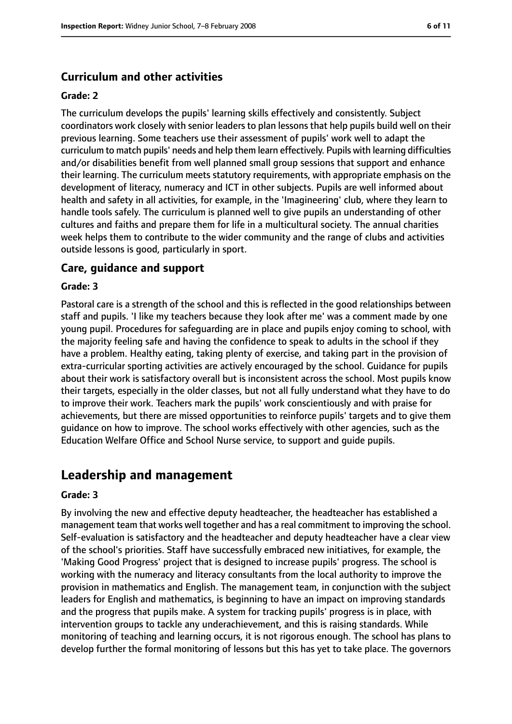## **Curriculum and other activities**

#### **Grade: 2**

The curriculum develops the pupils' learning skills effectively and consistently. Subject coordinators work closely with senior leaders to plan lessons that help pupils build well on their previous learning. Some teachers use their assessment of pupils' work well to adapt the curriculum to match pupils' needs and help them learn effectively. Pupils with learning difficulties and/or disabilities benefit from well planned small group sessions that support and enhance their learning. The curriculum meets statutory requirements, with appropriate emphasis on the development of literacy, numeracy and ICT in other subjects. Pupils are well informed about health and safety in all activities, for example, in the 'Imagineering' club, where they learn to handle tools safely. The curriculum is planned well to give pupils an understanding of other cultures and faiths and prepare them for life in a multicultural society. The annual charities week helps them to contribute to the wider community and the range of clubs and activities outside lessons is good, particularly in sport.

#### **Care, guidance and support**

#### **Grade: 3**

Pastoral care is a strength of the school and this is reflected in the good relationships between staff and pupils. 'I like my teachers because they look after me' was a comment made by one young pupil. Procedures for safeguarding are in place and pupils enjoy coming to school, with the majority feeling safe and having the confidence to speak to adults in the school if they have a problem. Healthy eating, taking plenty of exercise, and taking part in the provision of extra-curricular sporting activities are actively encouraged by the school. Guidance for pupils about their work is satisfactory overall but is inconsistent across the school. Most pupils know their targets, especially in the older classes, but not all fully understand what they have to do to improve their work. Teachers mark the pupils' work conscientiously and with praise for achievements, but there are missed opportunities to reinforce pupils' targets and to give them guidance on how to improve. The school works effectively with other agencies, such as the Education Welfare Office and School Nurse service, to support and guide pupils.

## **Leadership and management**

#### **Grade: 3**

By involving the new and effective deputy headteacher, the headteacher has established a management team that works well together and has a real commitment to improving the school. Self-evaluation is satisfactory and the headteacher and deputy headteacher have a clear view of the school's priorities. Staff have successfully embraced new initiatives, for example, the 'Making Good Progress' project that is designed to increase pupils' progress. The school is working with the numeracy and literacy consultants from the local authority to improve the provision in mathematics and English. The management team, in conjunction with the subject leaders for English and mathematics, is beginning to have an impact on improving standards and the progress that pupils make. A system for tracking pupils' progress is in place, with intervention groups to tackle any underachievement, and this is raising standards. While monitoring of teaching and learning occurs, it is not rigorous enough. The school has plans to develop further the formal monitoring of lessons but this has yet to take place. The governors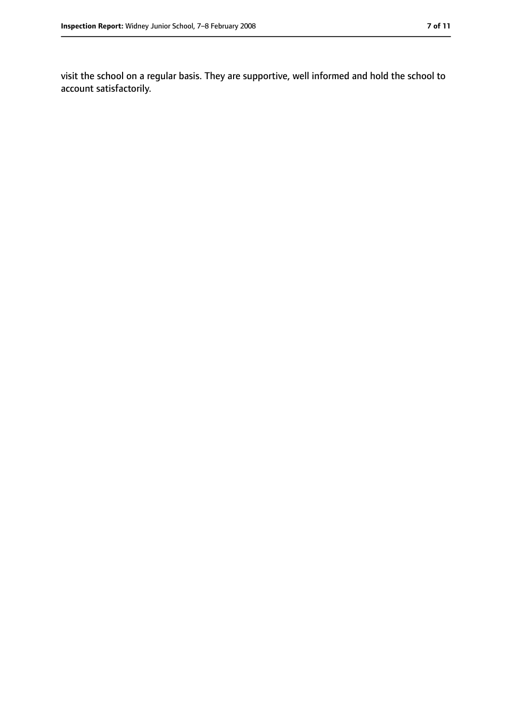visit the school on a regular basis. They are supportive, well informed and hold the school to account satisfactorily.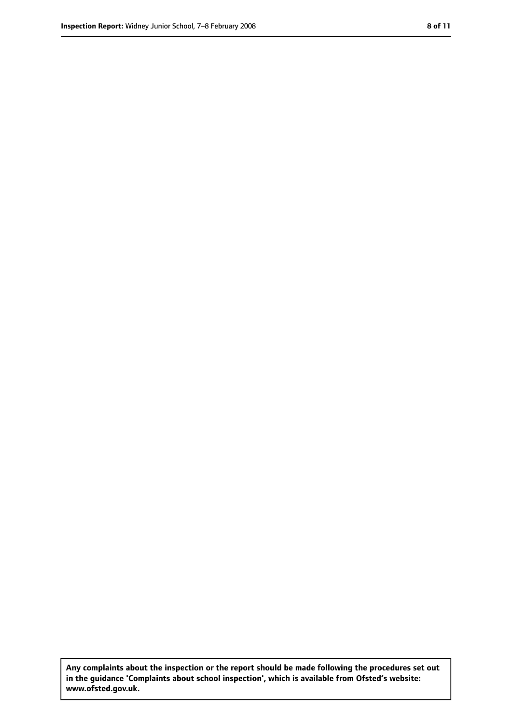**Any complaints about the inspection or the report should be made following the procedures set out in the guidance 'Complaints about school inspection', which is available from Ofsted's website: www.ofsted.gov.uk.**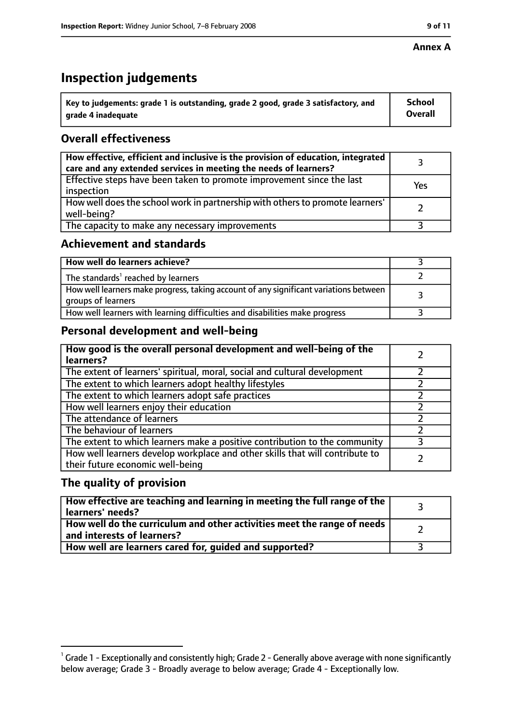#### **Annex A**

# **Inspection judgements**

| $^{\circ}$ Key to judgements: grade 1 is outstanding, grade 2 good, grade 3 satisfactory, and | <b>School</b>  |
|-----------------------------------------------------------------------------------------------|----------------|
| arade 4 inadeguate                                                                            | <b>Overall</b> |

# **Overall effectiveness**

| How effective, efficient and inclusive is the provision of education, integrated<br>care and any extended services in meeting the needs of learners? |     |
|------------------------------------------------------------------------------------------------------------------------------------------------------|-----|
| Effective steps have been taken to promote improvement since the last<br>inspection                                                                  | Yes |
| How well does the school work in partnership with others to promote learners'<br>well-being?                                                         |     |
| The capacity to make any necessary improvements                                                                                                      |     |

# **Achievement and standards**

| How well do learners achieve?                                                                               |  |
|-------------------------------------------------------------------------------------------------------------|--|
| The standards <sup>1</sup> reached by learners                                                              |  |
| How well learners make progress, taking account of any significant variations between<br>groups of learners |  |
| How well learners with learning difficulties and disabilities make progress                                 |  |

# **Personal development and well-being**

| How good is the overall personal development and well-being of the<br>learners?                                  |   |
|------------------------------------------------------------------------------------------------------------------|---|
| The extent of learners' spiritual, moral, social and cultural development                                        |   |
| The extent to which learners adopt healthy lifestyles                                                            |   |
| The extent to which learners adopt safe practices                                                                |   |
| How well learners enjoy their education                                                                          |   |
| The attendance of learners                                                                                       |   |
| The behaviour of learners                                                                                        |   |
| The extent to which learners make a positive contribution to the community                                       | 3 |
| How well learners develop workplace and other skills that will contribute to<br>their future economic well-being |   |

## **The quality of provision**

| How effective are teaching and learning in meeting the full range of the<br>learners' needs?                        |  |
|---------------------------------------------------------------------------------------------------------------------|--|
| How well do the curriculum and other activities meet the range of needs<br>$^{\text{!}}$ and interests of learners? |  |
| How well are learners cared for, guided and supported?                                                              |  |

 $^1$  Grade 1 - Exceptionally and consistently high; Grade 2 - Generally above average with none significantly below average; Grade 3 - Broadly average to below average; Grade 4 - Exceptionally low.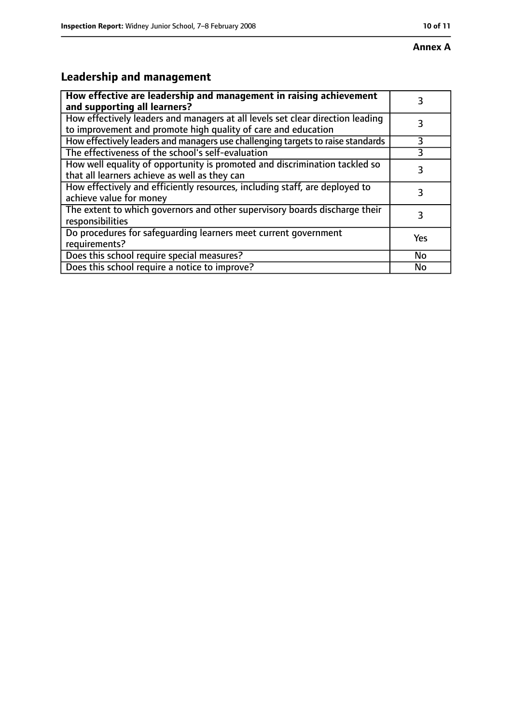# **Annex A**

# **Leadership and management**

| How effective are leadership and management in raising achievement<br>and supporting all learners?                                              | 3         |
|-------------------------------------------------------------------------------------------------------------------------------------------------|-----------|
| How effectively leaders and managers at all levels set clear direction leading<br>to improvement and promote high quality of care and education |           |
| How effectively leaders and managers use challenging targets to raise standards                                                                 | 3         |
| The effectiveness of the school's self-evaluation                                                                                               |           |
| How well equality of opportunity is promoted and discrimination tackled so<br>that all learners achieve as well as they can                     | 3         |
| How effectively and efficiently resources, including staff, are deployed to<br>achieve value for money                                          | 3         |
| The extent to which governors and other supervisory boards discharge their<br>responsibilities                                                  | 3         |
| Do procedures for safequarding learners meet current government<br>requirements?                                                                | Yes       |
| Does this school require special measures?                                                                                                      | <b>No</b> |
| Does this school require a notice to improve?                                                                                                   | No        |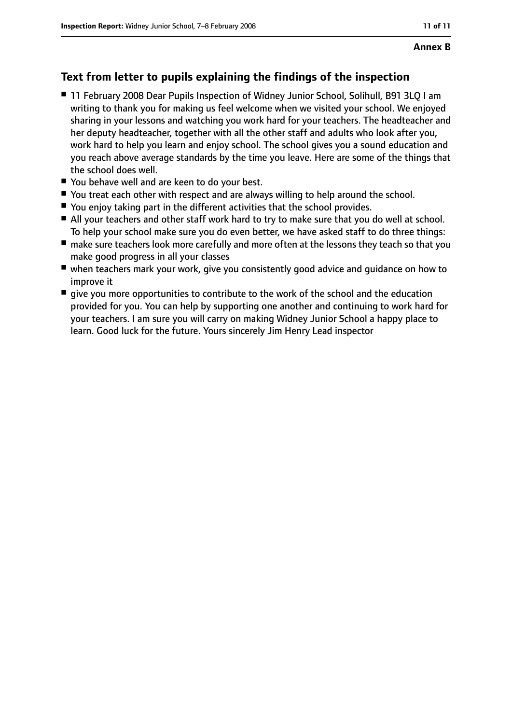# **Text from letter to pupils explaining the findings of the inspection**

- 11 February 2008 Dear Pupils Inspection of Widney Junior School, Solihull, B91 3LQ I am writing to thank you for making us feel welcome when we visited your school. We enjoyed sharing in your lessons and watching you work hard for your teachers. The headteacher and her deputy headteacher, together with all the other staff and adults who look after you, work hard to help you learn and enjoy school. The school gives you a sound education and you reach above average standards by the time you leave. Here are some of the things that the school does well.
- You behave well and are keen to do your best.
- You treat each other with respect and are always willing to help around the school.
- You enjoy taking part in the different activities that the school provides.
- All your teachers and other staff work hard to try to make sure that you do well at school. To help your school make sure you do even better, we have asked staff to do three things:
- make sure teachers look more carefully and more often at the lessons they teach so that you make good progress in all your classes
- when teachers mark your work, give you consistently good advice and guidance on how to improve it
- give you more opportunities to contribute to the work of the school and the education provided for you. You can help by supporting one another and continuing to work hard for your teachers. I am sure you will carry on making Widney Junior School a happy place to learn. Good luck for the future. Yours sincerely Jim Henry Lead inspector